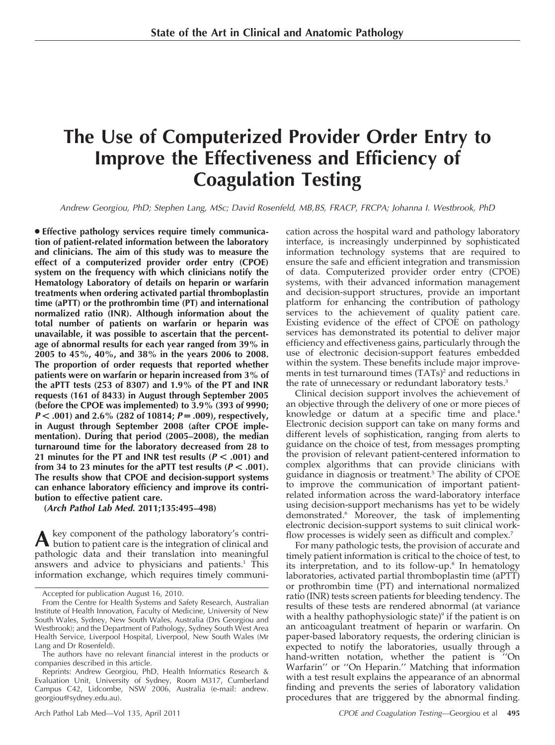# The Use of Computerized Provider Order Entry to Improve the Effectiveness and Efficiency of Coagulation Testing

Andrew Georgiou, PhD; Stephen Lang, MSc; David Rosenfeld, MB,BS, FRACP, FRCPA; Johanna I. Westbrook, PhD

• Effective pathology services require timely communication of patient-related information between the laboratory and clinicians. The aim of this study was to measure the effect of a computerized provider order entry (CPOE) system on the frequency with which clinicians notify the Hematology Laboratory of details on heparin or warfarin treatments when ordering activated partial thromboplastin time (aPTT) or the prothrombin time (PT) and international normalized ratio (INR). Although information about the total number of patients on warfarin or heparin was unavailable, it was possible to ascertain that the percentage of abnormal results for each year ranged from 39% in 2005 to 45%, 40%, and 38% in the years 2006 to 2008. The proportion of order requests that reported whether patients were on warfarin or heparin increased from 3% of the aPTT tests (253 of 8307) and 1.9% of the PT and INR requests (161 of 8433) in August through September 2005 (before the CPOE was implemented) to 3.9% (393 of 9990;  $P < .001$ ) and 2.6% (282 of 10814;  $P = .009$ ), respectively, in August through September 2008 (after CPOE implementation). During that period (2005–2008), the median turnaround time for the laboratory decreased from 28 to 21 minutes for the PT and INR test results ( $P < .001$ ) and from 34 to 23 minutes for the aPTT test results ( $P < .001$ ). The results show that CPOE and decision-support systems can enhance laboratory efficiency and improve its contribution to effective patient care.

(Arch Pathol Lab Med. 2011;135:495–498)

Akey component of the pathology laboratory's contri-bution to patient care is the integration of clinical and pathologic data and their translation into meaningful answers and advice to physicians and patients.<sup>1</sup> This information exchange, which requires timely communication across the hospital ward and pathology laboratory interface, is increasingly underpinned by sophisticated information technology systems that are required to ensure the safe and efficient integration and transmission of data. Computerized provider order entry (CPOE) systems, with their advanced information management and decision-support structures, provide an important platform for enhancing the contribution of pathology services to the achievement of quality patient care. Existing evidence of the effect of CPOE on pathology services has demonstrated its potential to deliver major efficiency and effectiveness gains, particularly through the use of electronic decision-support features embedded within the system. These benefits include major improvements in test turnaround times (TATs)<sup>2</sup> and reductions in the rate of unnecessary or redundant laboratory tests.<sup>3</sup>

Clinical decision support involves the achievement of an objective through the delivery of one or more pieces of knowledge or datum at a specific time and place.<sup>4</sup> Electronic decision support can take on many forms and different levels of sophistication, ranging from alerts to guidance on the choice of test, from messages prompting the provision of relevant patient-centered information to complex algorithms that can provide clinicians with guidance in diagnosis or treatment.5 The ability of CPOE to improve the communication of important patientrelated information across the ward-laboratory interface using decision-support mechanisms has yet to be widely demonstrated.6 Moreover, the task of implementing electronic decision-support systems to suit clinical workflow processes is widely seen as difficult and complex.<sup>7</sup>

For many pathologic tests, the provision of accurate and timely patient information is critical to the choice of test, to its interpretation, and to its follow-up.<sup>8</sup> In hematology laboratories, activated partial thromboplastin time (aPTT) or prothrombin time (PT) and international normalized ratio (INR) tests screen patients for bleeding tendency. The results of these tests are rendered abnormal (at variance with a healthy pathophysiologic state) $\delta$  if the patient is on an anticoagulant treatment of heparin or warfarin. On paper-based laboratory requests, the ordering clinician is expected to notify the laboratories, usually through a hand-written notation, whether the patient is ''On Warfarin'' or ''On Heparin.'' Matching that information with a test result explains the appearance of an abnormal finding and prevents the series of laboratory validation procedures that are triggered by the abnormal finding.

Accepted for publication August 16, 2010.

From the Centre for Health Systems and Safety Research, Australian Institute of Health Innovation, Faculty of Medicine, University of New South Wales, Sydney, New South Wales, Australia (Drs Georgiou and Westbrook); and the Department of Pathology, Sydney South West Area Health Service, Liverpool Hospital, Liverpool, New South Wales (Mr Lang and Dr Rosenfeld).

The authors have no relevant financial interest in the products or companies described in this article.

Reprints: Andrew Georgiou, PhD, Health Informatics Research & Evaluation Unit, University of Sydney, Room M317, Cumberland Campus C42, Lidcombe, NSW 2006, Australia (e-mail: andrew. georgiou@sydney.edu.au).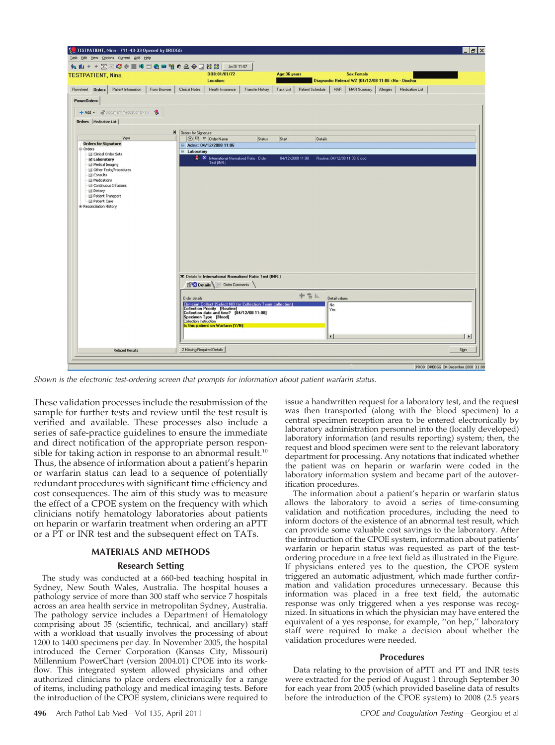

Shown is the electronic test-ordering screen that prompts for information about patient warfarin status.

These validation processes include the resubmission of the sample for further tests and review until the test result is verified and available. These processes also include a series of safe-practice guidelines to ensure the immediate and direct notification of the appropriate person responsible for taking action in response to an abnormal result.<sup>10</sup> Thus, the absence of information about a patient's heparin or warfarin status can lead to a sequence of potentially redundant procedures with significant time efficiency and cost consequences. The aim of this study was to measure the effect of a CPOE system on the frequency with which clinicians notify hematology laboratories about patients on heparin or warfarin treatment when ordering an aPTT or a PT or INR test and the subsequent effect on TATs.

# MATERIALS AND METHODS

#### Research Setting

The study was conducted at a 660-bed teaching hospital in Sydney, New South Wales, Australia. The hospital houses a pathology service of more than 300 staff who service 7 hospitals across an area health service in metropolitan Sydney, Australia. The pathology service includes a Department of Hematology comprising about 35 (scientific, technical, and ancillary) staff with a workload that usually involves the processing of about 1200 to 1400 specimens per day. In November 2005, the hospital introduced the Cerner Corporation (Kansas City, Missouri) Millennium PowerChart (version 2004.01) CPOE into its workflow. This integrated system allowed physicians and other authorized clinicians to place orders electronically for a range of items, including pathology and medical imaging tests. Before the introduction of the CPOE system, clinicians were required to

issue a handwritten request for a laboratory test, and the request was then transported (along with the blood specimen) to a central specimen reception area to be entered electronically by laboratory administration personnel into the (locally developed) laboratory information (and results reporting) system; then, the request and blood specimen were sent to the relevant laboratory department for processing. Any notations that indicated whether the patient was on heparin or warfarin were coded in the laboratory information system and became part of the autoverification procedures.

The information about a patient's heparin or warfarin status allows the laboratory to avoid a series of time-consuming validation and notification procedures, including the need to inform doctors of the existence of an abnormal test result, which can provide some valuable cost savings to the laboratory. After the introduction of the CPOE system, information about patients' warfarin or heparin status was requested as part of the testordering procedure in a free text field as illustrated in the Figure. If physicians entered yes to the question, the CPOE system triggered an automatic adjustment, which made further confirmation and validation procedures unnecessary. Because this information was placed in a free text field, the automatic response was only triggered when a yes response was recognized. In situations in which the physician may have entered the equivalent of a yes response, for example, ''on hep,'' laboratory staff were required to make a decision about whether the validation procedures were needed.

# Procedures

Data relating to the provision of aPTT and PT and INR tests were extracted for the period of August 1 through September 30 for each year from 2005 (which provided baseline data of results before the introduction of the CPOE system) to 2008 (2.5 years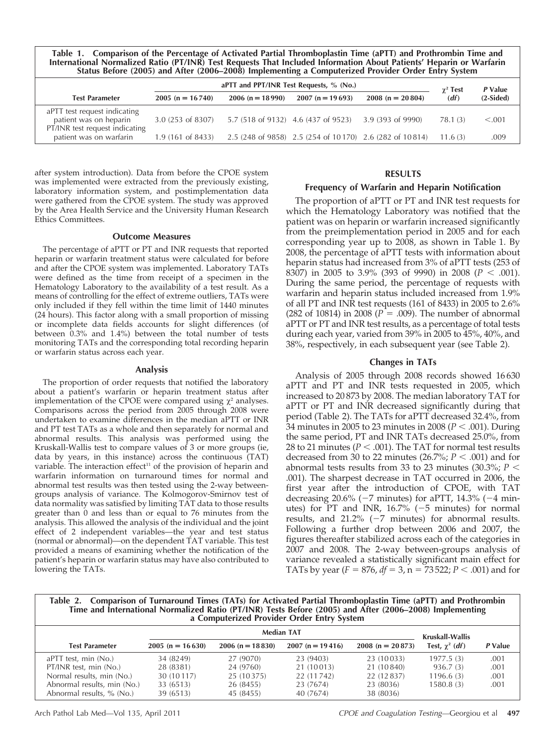Table 1. Comparison of the Percentage of Activated Partial Thromboplastin Time (aPTT) and Prothrombin Time and International Normalized Ratio (PT/INR) Test Requests That Included Information About Patients' Heparin or Warfarin Status Before (2005) and After (2006–2008) Implementing a Computerized Provider Order Entry System

|                                                                                          | aPTT and PPT/INR Test Requests, % (No.) |                   |                                                         |                   |                         | P Value     |
|------------------------------------------------------------------------------------------|-----------------------------------------|-------------------|---------------------------------------------------------|-------------------|-------------------------|-------------|
| <b>Test Parameter</b>                                                                    | $2005(n = 16740)$                       | $2006(n = 18990)$ | $2007(n = 19693)$                                       | $2008(n = 20804)$ | $\gamma^2$ Test<br>(df) | $(2-Sided)$ |
| aPTT test request indicating<br>patient was on heparin<br>PT/INR test request indicating | $3.0(253 \text{ of } 8307)$             |                   | 5.7 (518 of 9132) 4.6 (437 of 9523)                     | 3.9 (393 of 9990) | 78.1 (3)                | < 0.001     |
| patient was on warfarin                                                                  | $1.9(161 \text{ of } 8433)$             |                   | 2.5 (248 of 9858) 2.5 (254 of 10170) 2.6 (282 of 10814) |                   | 11.6(3)                 | .009        |

after system introduction). Data from before the CPOE system was implemented were extracted from the previously existing, laboratory information system, and postimplementation data were gathered from the CPOE system. The study was approved by the Area Health Service and the University Human Research Ethics Committees.

# Outcome Measures

The percentage of aPTT or PT and INR requests that reported heparin or warfarin treatment status were calculated for before and after the CPOE system was implemented. Laboratory TATs were defined as the time from receipt of a specimen in the Hematology Laboratory to the availability of a test result. As a means of controlling for the effect of extreme outliers, TATs were only included if they fell within the time limit of 1440 minutes (24 hours). This factor along with a small proportion of missing or incomplete data fields accounts for slight differences (of between  $0.3\%$  and  $1.4\%$ ) between the total number of tests monitoring TATs and the corresponding total recording heparin or warfarin status across each year.

## Analysis

The proportion of order requests that notified the laboratory about a patient's warfarin or heparin treatment status after implementation of the CPOE were compared using  $\chi^2$  analyses. Comparisons across the period from 2005 through 2008 were undertaken to examine differences in the median aPTT or INR and PT test TATs as a whole and then separately for normal and abnormal results. This analysis was performed using the Kruskall-Wallis test to compare values of 3 or more groups (ie, data by years, in this instance) across the continuous (TAT) variable. The interaction effect<sup>11</sup> of the provision of heparin and warfarin information on turnaround times for normal and abnormal test results was then tested using the 2-way betweengroups analysis of variance. The Kolmogorov-Smirnov test of data normality was satisfied by limiting TAT data to those results greater than 0 and less than or equal to 76 minutes from the analysis. This allowed the analysis of the individual and the joint effect of 2 independent variables—the year and test status (normal or abnormal)—on the dependent TAT variable. This test provided a means of examining whether the notification of the patient's heparin or warfarin status may have also contributed to lowering the TATs.

# RESULTS

# Frequency of Warfarin and Heparin Notification

The proportion of aPTT or PT and INR test requests for which the Hematology Laboratory was notified that the patient was on heparin or warfarin increased significantly from the preimplementation period in 2005 and for each corresponding year up to 2008, as shown in Table 1. By 2008, the percentage of aPTT tests with information about heparin status had increased from 3% of aPTT tests (253 of 8307) in 2005 to 3.9% (393 of 9990) in 2008 ( $P < .001$ ). During the same period, the percentage of requests with warfarin and heparin status included increased from 1.9% of all PT and INR test requests (161 of 8433) in 2005 to 2.6% (282 of 10814) in 2008 ( $P = .009$ ). The number of abnormal aPTT or PT and INR test results, as a percentage of total tests during each year, varied from 39% in 2005 to 45%, 40%, and 38%, respectively, in each subsequent year (see Table 2).

# Changes in TATs

Analysis of 2005 through 2008 records showed 16 630 aPTT and PT and INR tests requested in 2005, which increased to 20 873 by 2008. The median laboratory TAT for aPTT or PT and INR decreased significantly during that period (Table 2). The TATs for aPTT decreased 32.4%, from 34 minutes in 2005 to 23 minutes in 2008 ( $P < .001$ ). During the same period, PT and INR TATs decreased 25.0%, from 28 to 21 minutes ( $P < .001$ ). The TAT for normal test results decreased from 30 to 22 minutes (26.7%;  $P < .001$ ) and for abnormal tests results from 33 to 23 minutes (30.3%;  $P <$ .001). The sharpest decrease in TAT occurred in 2006, the first year after the introduction of CPOE, with TAT decreasing 20.6% ( $-7$  minutes) for aPTT, 14.3% ( $-4$  minutes) for PT and INR,  $16.7\%$  ( $-5$  minutes) for normal results, and  $21.2\%$  (-7 minutes) for abnormal results. Following a further drop between 2006 and 2007, the figures thereafter stabilized across each of the categories in 2007 and 2008. The 2-way between-groups analysis of variance revealed a statistically significant main effect for TATs by year ( $F = 876$ ,  $df = 3$ , n = 73 522;  $P < .001$ ) and for

Table 2. Comparison of Turnaround Times (TATs) for Activated Partial Thromboplastin Time (aPTT) and Prothrombin<br>Time and International Normalized Ratio (PT/INR) Tests Before (2005) and After (2006–2008) Implementing<br>a Comp

|                   | Kruskall-Wallis   |                   |                   |                       |         |  |
|-------------------|-------------------|-------------------|-------------------|-----------------------|---------|--|
| $2005(n = 16630)$ | $2006(n = 18830)$ | $2007(n = 19416)$ | $2008(n = 20873)$ | Test, $\gamma^2$ (df) | P Value |  |
| 34 (8249)         | 27 (9070)         | 23 (9403)         | 23 (10033)        | 1977.5(3)             | .001    |  |
| 28 (8381)         | 24 (9760)         | 21 (10 013)       | 21 (10 840)       | 936.7(3)              | .001    |  |
| 30 (10 117)       | 25 (10375)        | 22 (11 742)       | 22 (12 8 37)      | 1196.6(3)             | .001    |  |
| 33 (6513)         | 26 (8455)         | 23 (7674)         | 23 (8036)         | 1580.8(3)             | .001    |  |
| 39 (6513)         | 45 (8455)         | 40 (7674)         | 38 (8036)         |                       |         |  |
|                   |                   |                   | <b>Median TAT</b> |                       |         |  |